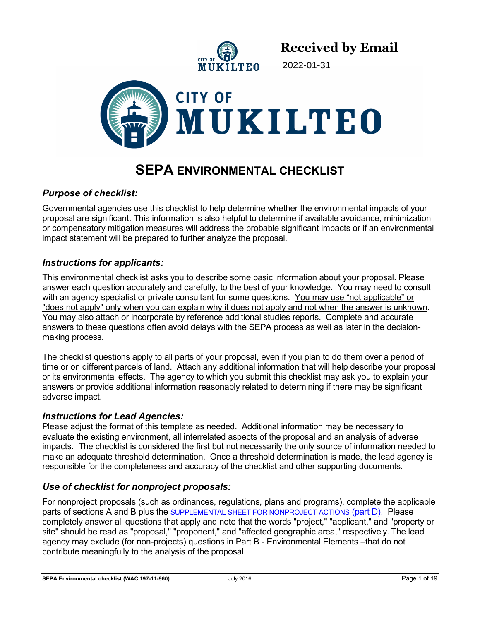

2022-01-31



# **SEPA ENVIRONMENTAL CHECKLIST**

## *Purpose of checklist:*

Governmental agencies use this checklist to help determine whether the environmental impacts of your proposal are significant. This information is also helpful to determine if available avoidance, minimization or compensatory mitigation measures will address the probable significant impacts or if an environmental impact statement will be prepared to further analyze the proposal.

## *Instructions for applicants:*

This environmental checklist asks you to describe some basic information about your proposal. Please answer each question accurately and carefully, to the best of your knowledge. You may need to consult with an agency specialist or private consultant for some questions. You may use "not applicable" or "does not apply" only when you can explain why it does not apply and not when the answer is unknown. You may also attach or incorporate by reference additional studies reports. Complete and accurate answers to these questions often avoid delays with the SEPA process as well as later in the decisionmaking process.

The checklist questions apply to all parts of your proposal, even if you plan to do them over a period of time or on different parcels of land. Attach any additional information that will help describe your proposal or its environmental effects. The agency to which you submit this checklist may ask you to explain your answers or provide additional information reasonably related to determining if there may be significant adverse impact.

## *Instructions for Lead Agencies:*

Please adjust the format of this template as needed. Additional information may be necessary to evaluate the existing environment, all interrelated aspects of the proposal and an analysis of adverse impacts. The checklist is considered the first but not necessarily the only source of information needed to make an adequate threshold determination. Once a threshold determination is made, the lead agency is responsible for the completeness and accuracy of the checklist and other supporting documents.

## *Use of checklist for nonproject proposals:*

For nonproject proposals (such as ordinances, regulations, plans and programs), complete the applicable parts of sections A and B plus the SUPPLEMENTAL SHEET FOR NONPROJECT ACTIONS (part D). Please completely answer all questions that apply and note that the words "project," "applicant," and "property or site" should be read as "proposal," "proponent," and "affected geographic area," respectively. The lead agency may exclude (for non-projects) questions in Part B - Environmental Elements –that do not contribute meaningfully to the analysis of the proposal.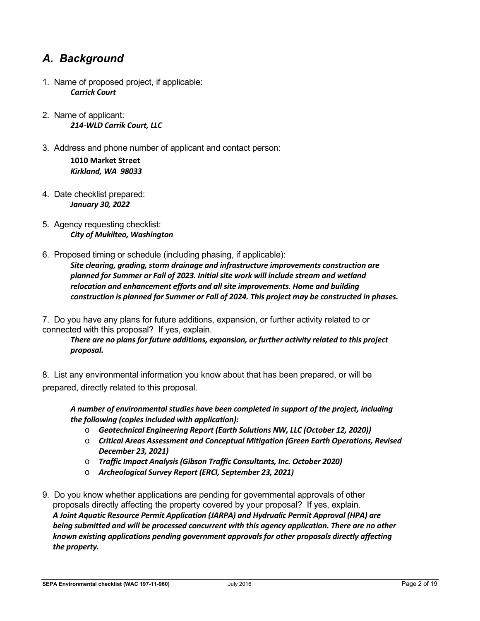## *A. Background*

- 1. Name of proposed project, if applicable: *Carrick Court*
- 2. Name of applicant: *214-WLD Carrik Court, LLC*
- 3. Address and phone number of applicant and contact person: **1010 Market Street**  *Kirkland, WA 98033*
- 4. Date checklist prepared: *January 30, 2022*
- 5. Agency requesting checklist: *City of Mukilteo, Washington*
- 6. Proposed timing or schedule (including phasing, if applicable): *Site clearing, grading, storm drainage and infrastructure improvements construction are planned for Summer or Fall of 2023. Initial site work will include stream and wetland relocation and enhancement efforts and all site improvements. Home and building construction is planned for Summer or Fall of 2024. This project may be constructed in phases.*

7. Do you have any plans for future additions, expansion, or further activity related to or connected with this proposal? If yes, explain.

*There are no plans for future additions, expansion, or further activity related to this project proposal.* 

8. List any environmental information you know about that has been prepared, or will be prepared, directly related to this proposal.

*A number of environmental studies have been completed in support of the project, including the following (copies included with application):* 

- o *Geotechnical Engineering Report (Earth Solutions NW, LLC (October 12, 2020))*
- o *Critical Areas Assessment and Conceptual Mitigation (Green Earth Operations, Revised December 23, 2021)*
- o *Traffic Impact Analysis (Gibson Traffic Consultants, Inc. October 2020)*
- o *Archeological Survey Report (ERCI, September 23, 2021)*
- 9. Do you know whether applications are pending for governmental approvals of other proposals directly affecting the property covered by your proposal? If yes, explain. *A Joint Aquatic Resource Permit Application (JARPA) and Hydrualic Permit Approval (HPA) are being submitted and will be processed concurrent with this agency application. There are no other known existing applications pending government approvals for other proposals directly affecting the property.*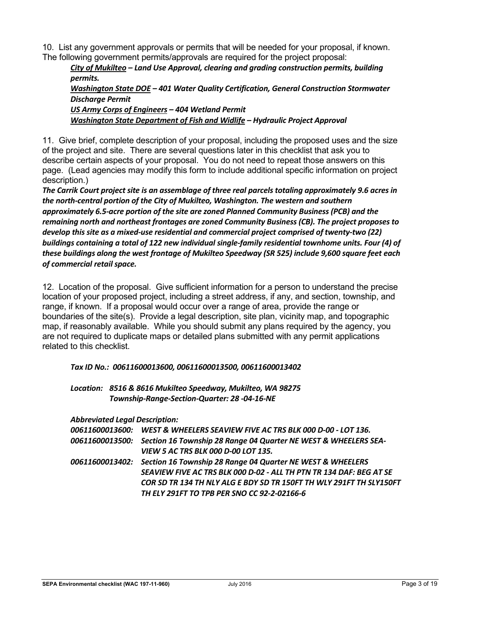10. List any government approvals or permits that will be needed for your proposal, if known. The following government permits/approvals are required for the project proposal:

*City of Mukilteo – Land Use Approval, clearing and grading construction permits, building permits.* 

*Washington State DOE – 401 Water Quality Certification, General Construction Stormwater Discharge Permit* 

*US Army Corps of Engineers – 404 Wetland Permit Washington State Department of Fish and Widlife – Hydraulic Project Approval* 

11. Give brief, complete description of your proposal, including the proposed uses and the size of the project and site. There are several questions later in this checklist that ask you to describe certain aspects of your proposal. You do not need to repeat those answers on this page. (Lead agencies may modify this form to include additional specific information on project description.)

*The Carrik Court project site is an assemblage of three real parcels totaling approximately 9.6 acres in the north-central portion of the City of Mukilteo, Washington. The western and southern approximately 6.5-acre portion of the site are zoned Planned Community Business (PCB) and the remaining north and northeast frontages are zoned Community Business (CB). The project proposes to develop this site as a mixed-use residential and commercial project comprised of twenty-two (22) buildings containing a total of 122 new individual single-family residential townhome units. Four (4) of these buildings along the west frontage of Mukilteo Speedway (SR 525) include 9,600 square feet each of commercial retail space.* 

12. Location of the proposal. Give sufficient information for a person to understand the precise location of your proposed project, including a street address, if any, and section, township, and range, if known. If a proposal would occur over a range of area, provide the range or boundaries of the site(s). Provide a legal description, site plan, vicinity map, and topographic map, if reasonably available. While you should submit any plans required by the agency, you are not required to duplicate maps or detailed plans submitted with any permit applications related to this checklist.

#### *Tax ID No.: 00611600013600, 00611600013500, 00611600013402*

*Location: 8516 & 8616 Mukilteo Speedway, Mukilteo, WA 98275 Township-Range-Section-Quarter: 28 -04-16-NE* 

*Abbreviated Legal Description:* 

|  | 00611600013600: WEST & WHEELERS SEAVIEW FIVE AC TRS BLK 000 D-00 - LOT 136.     |
|--|---------------------------------------------------------------------------------|
|  | 00611600013500: Section 16 Township 28 Range 04 Quarter NE WEST & WHEELERS SEA- |
|  | <i>VIEW 5 AC TRS BLK 000 D-00 LOT 135.</i>                                      |
|  | 00611600013402: Section 16 Township 28 Range 04 Quarter NE WEST & WHEELERS      |
|  | SEAVIEW FIVE AC TRS BLK 000 D-02 - ALL TH PTN TR 134 DAF: BEG AT SE             |
|  | COR SD TR 134 TH NLY ALG E BDY SD TR 150FT TH WLY 291FT TH SLY150FT             |
|  | TH ELY 291FT TO TPB PER SNO CC 92-2-02166-6                                     |
|  |                                                                                 |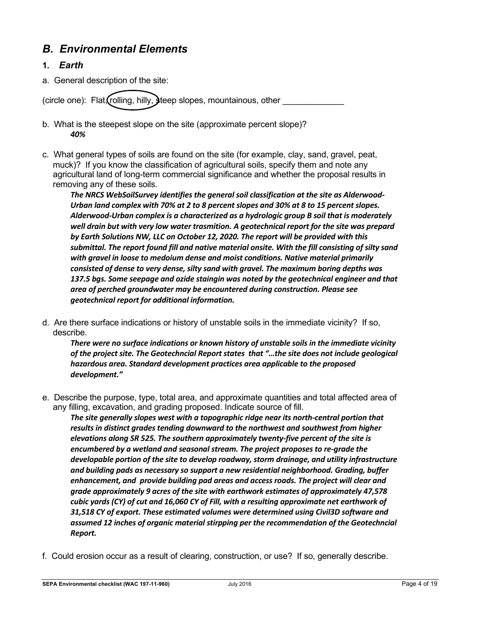## *B. Environmental Elements*

## **1.** *Earth*

a. General description of the site:

(circle one): Flat, rolling, hilly, steep slopes, mountainous, other

- b. What is the steepest slope on the site (approximate percent slope)? *40%*
- c. What general types of soils are found on the site (for example, clay, sand, gravel, peat, muck)? If you know the classification of agricultural soils, specify them and note any agricultural land of long-term commercial significance and whether the proposal results in removing any of these soils.

*The NRCS WebSoilSurvey identifies the general soil classification at the site as Alderwood-Urban land complex with 70% at 2 to 8 percent slopes and 30% at 8 to 15 percent slopes. Alderwood-Urban complex is a characterized as a hydrologic group B soil that is moderately well drain but with very low water trasmition. A geotechnical report for the site was prepard by Earth Solutions NW, LLC on October 12, 2020. The report will be provided with this submittal. The report found fill and native material onsite. With the fill consisting of silty sand with gravel in loose to medoium dense and moist conditions. Native material primarily consisted of dense to very dense, silty sand with gravel. The maximum boring depths was 137.5 bgs. Some seepage and ozide staingin was noted by the geotechnical engineer and that area of perched groundwater may be encountered during construction. Please see geotechnical report for additional information.* 

d. Are there surface indications or history of unstable soils in the immediate vicinity? If so, describe.

*There were no surface indications or known history of unstable soils in the immediate vicinity of the project site. The Geotechncial Report states that "…the site does not include geological hazardous area. Standard development practices area applicable to the proposed development."* 

e. Describe the purpose, type, total area, and approximate quantities and total affected area of any filling, excavation, and grading proposed. Indicate source of fill.

*The site generally slopes west with a topographic ridge near its north-central portion that results in distinct grades tending downward to the northwest and southwest from higher elevations along SR 525. The southern approximately twenty-five percent of the site is encumbered by a wetland and seasonal stream. The project proposes to re-grade the developable portion of the site to develop roadway, storm drainage, and utility infrastructure and building pads as necessary so support a new residential neighborhood. Grading, buffer enhancement, and provide building pad areas and access roads. The project will clear and grade approximately 9 acres of the site with earthwork estimates of approximately 47,578 cubic yards (CY) of cut and 16,060 CY of Fill, with a resulting approximate net earthwork of 31,518 CY of export. These estimated volumes were determined using Civil3D software and assumed 12 inches of organic material stirpping per the recommendation of the Geotechncial Report.* 

f. Could erosion occur as a result of clearing, construction, or use? If so, generally describe.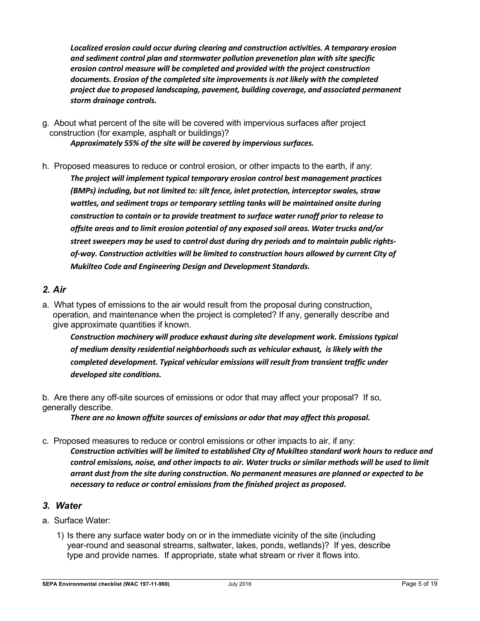*Localized erosion could occur during clearing and construction activities. A temporary erosion and sediment control plan and stormwater pollution prevenetion plan with site specific erosion control measure will be completed and provided with the project construction documents. Erosion of the completed site improvements is not likely with the completed project due to proposed landscaping, pavement, building coverage, and associated permanent storm drainage controls.* 

- g. About what percent of the site will be covered with impervious surfaces after project construction (for example, asphalt or buildings)? *Approximately 55% of the site will be covered by impervious surfaces.*
- h. Proposed measures to reduce or control erosion, or other impacts to the earth, if any: *The project will implement typical temporary erosion control best management practices (BMPs) including, but not limited to: silt fence, inlet protection, interceptor swales, straw wattles, and sediment traps or temporary settling tanks will be maintained onsite during construction to contain or to provide treatment to surface water runoff prior to release to offsite areas and to limit erosion potential of any exposed soil areas. Water trucks and/or street sweepers may be used to control dust during dry periods and to maintain public rightsof-way. Construction activities will be limited to construction hours allowed by current City of Mukilteo Code and Engineering Design and Development Standards.*

## *2. Air*

a. What types of emissions to the air would result from the proposal during construction, operation, and maintenance when the project is completed? If any, generally describe and give approximate quantities if known.

*Construction machinery will produce exhaust during site development work. Emissions typical of medium density residential neighborhoods such as vehicular exhaust, is likely with the completed development. Typical vehicular emissions will result from transient traffic under developed site conditions.* 

b. Are there any off-site sources of emissions or odor that may affect your proposal? If so, generally describe.

*There are no known offsite sources of emissions or odor that may affect this proposal.* 

c. Proposed measures to reduce or control emissions or other impacts to air, if any:

*Construction activities will be limited to established City of Mukilteo standard work hours to reduce and control emissions, noise, and other impacts to air. Water trucks or similar methods will be used to limit arrant dust from the site during construction. No permanent measures are planned or expected to be necessary to reduce or control emissions from the finished project as proposed***.** 

#### *3. Water*

- a. Surface Water:
	- 1) Is there any surface water body on or in the immediate vicinity of the site (including year-round and seasonal streams, saltwater, lakes, ponds, wetlands)? If yes, describe type and provide names. If appropriate, state what stream or river it flows into.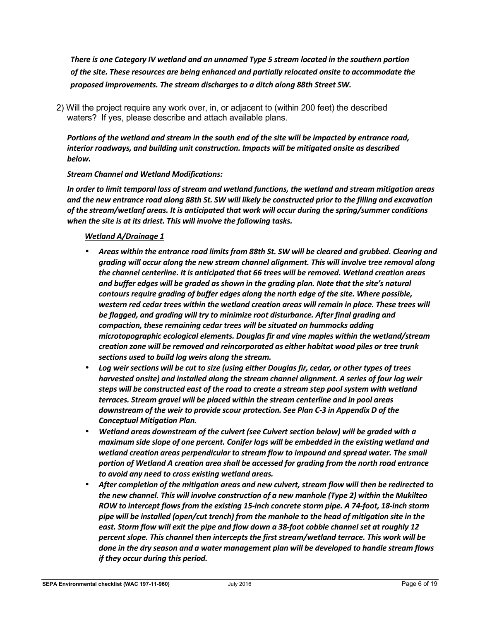*There is one Category IV wetland and an unnamed Type 5 stream located in the southern portion of the site. These resources are being enhanced and partially relocated onsite to accommodate the proposed improvements. The stream discharges to a ditch along 88th Street SW.* 

2) Will the project require any work over, in, or adjacent to (within 200 feet) the described waters? If yes, please describe and attach available plans.

*Portions of the wetland and stream in the south end of the site will be impacted by entrance road, interior roadways, and building unit construction. Impacts will be mitigated onsite as described below.* 

#### *Stream Channel and Wetland Modifications:*

*In order to limit temporal loss of stream and wetland functions, the wetland and stream mitigation areas and the new entrance road along 88th St. SW will likely be constructed prior to the filling and excavation of the stream/wetlanf areas. It is anticipated that work will occur during the spring/summer conditions when the site is at its driest. This will involve the following tasks.* 

#### *Wetland A/Drainage 1*

- *Areas within the entrance road limits from 88th St. SW will be cleared and grubbed. Clearing and grading will occur along the new stream channel alignment. This will involve tree removal along the channel centerline. It is anticipated that 66 trees will be removed. Wetland creation areas and buffer edges will be graded as shown in the grading plan. Note that the site's natural contours require grading of buffer edges along the north edge of the site. Where possible, western red cedar trees within the wetland creation areas will remain in place. These trees will be flagged, and grading will try to minimize root disturbance. After final grading and compaction, these remaining cedar trees will be situated on hummocks adding microtopographic ecological elements. Douglas fir and vine maples within the wetland/stream creation zone will be removed and reincorporated as either habitat wood piles or tree trunk sections used to build log weirs along the stream.*
- *Log weir sections will be cut to size (using either Douglas fir, cedar, or other types of trees harvested onsite) and installed along the stream channel alignment. A series of four log weir steps will be constructed east of the road to create a stream step pool system with wetland terraces. Stream gravel will be placed within the stream centerline and in pool areas downstream of the weir to provide scour protection. See Plan C-3 in Appendix D of the Conceptual Mitigation Plan.*
- *Wetland areas downstream of the culvert (see Culvert section below) will be graded with a maximum side slope of one percent. Conifer logs will be embedded in the existing wetland and wetland creation areas perpendicular to stream flow to impound and spread water. The small portion of Wetland A creation area shall be accessed for grading from the north road entrance to avoid any need to cross existing wetland areas.*
- *After completion of the mitigation areas and new culvert, stream flow will then be redirected to the new channel. This will involve construction of a new manhole (Type 2) within the Mukilteo ROW to intercept flows from the existing 15-inch concrete storm pipe. A 74-foot, 18-inch storm pipe will be installed (open/cut trench) from the manhole to the head of mitigation site in the east. Storm flow will exit the pipe and flow down a 38-foot cobble channel set at roughly 12 percent slope. This channel then intercepts the first stream/wetland terrace. This work will be done in the dry season and a water management plan will be developed to handle stream flows if they occur during this period.*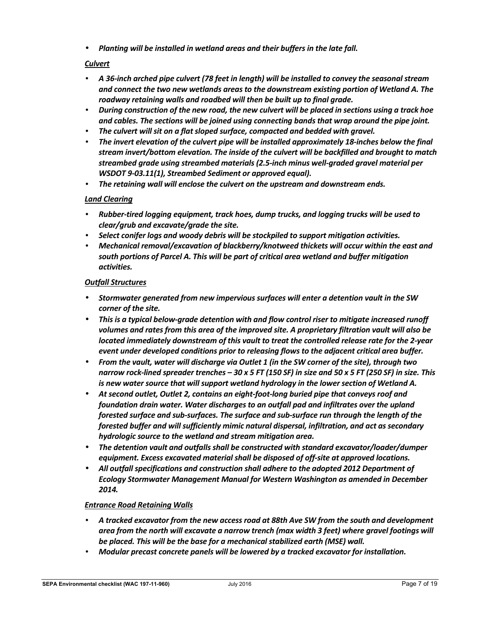• *Planting will be installed in wetland areas and their buffers in the late fall.* 

#### *Culvert*

- *A 36-inch arched pipe culvert (78 feet in length) will be installed to convey the seasonal stream and connect the two new wetlands areas to the downstream existing portion of Wetland A. The roadway retaining walls and roadbed will then be built up to final grade.*
- *During construction of the new road, the new culvert will be placed in sections using a track hoe and cables. The sections will be joined using connecting bands that wrap around the pipe joint.*
- *The culvert will sit on a flat sloped surface, compacted and bedded with gravel.*
- *The invert elevation of the culvert pipe will be installed approximately 18-inches below the final stream invert/bottom elevation. The inside of the culvert will be backfilled and brought to match streambed grade using streambed materials (2.5-inch minus well-graded gravel material per WSDOT 9-03.11(1), Streambed Sediment or approved equal).*
- *The retaining wall will enclose the culvert on the upstream and downstream ends.*

#### *Land Clearing*

- *Rubber-tired logging equipment, track hoes, dump trucks, and logging trucks will be used to clear/grub and excavate/grade the site.*
- *Select conifer logs and woody debris will be stockpiled to support mitigation activities.*
- *Mechanical removal/excavation of blackberry/knotweed thickets will occur within the east and south portions of Parcel A. This will be part of critical area wetland and buffer mitigation activities.*

#### *Outfall Structures*

- *Stormwater generated from new impervious surfaces will enter a detention vault in the SW corner of the site.*
- *This is a typical below-grade detention with and flow control riser to mitigate increased runoff volumes and rates from this area of the improved site. A proprietary filtration vault will also be located immediately downstream of this vault to treat the controlled release rate for the 2-year event under developed conditions prior to releasing flows to the adjacent critical area buffer.*
- *From the vault, water will discharge via Outlet 1 (in the SW corner of the site), through two narrow rock-lined spreader trenches – 30 x 5 FT (150 SF) in size and 50 x 5 FT (250 SF) in size. This is new water source that will support wetland hydrology in the lower section of Wetland A.*
- *At second outlet, Outlet 2, contains an eight-foot-long buried pipe that conveys roof and foundation drain water. Water discharges to an outfall pad and infiltrates over the upland forested surface and sub-surfaces. The surface and sub-surface run through the length of the forested buffer and will sufficiently mimic natural dispersal, infiltration, and act as secondary hydrologic source to the wetland and stream mitigation area.*
- *The detention vault and outfalls shall be constructed with standard excavator/loader/dumper equipment. Excess excavated material shall be disposed of off-site at approved locations.*
- *All outfall specifications and construction shall adhere to the adopted 2012 Department of Ecology Stormwater Management Manual for Western Washington as amended in December 2014.*

#### *Entrance Road Retaining Walls*

- *A tracked excavator from the new access road at 88th Ave SW from the south and development area from the north will excavate a narrow trench (max width 3 feet) where gravel footings will be placed. This will be the base for a mechanical stabilized earth (MSE) wall.*
- *Modular precast concrete panels will be lowered by a tracked excavator for installation.*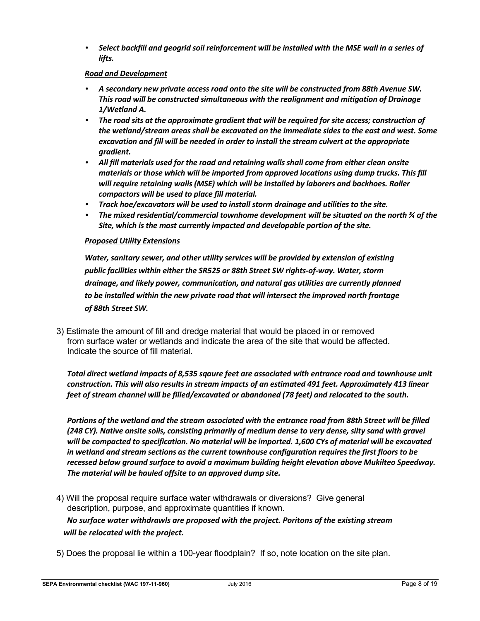• *Select backfill and geogrid soil reinforcement will be installed with the MSE wall in a series of lifts.* 

#### *Road and Development*

- *A secondary new private access road onto the site will be constructed from 88th Avenue SW. This road will be constructed simultaneous with the realignment and mitigation of Drainage 1/Wetland A.*
- *The road sits at the approximate gradient that will be required for site access; construction of the wetland/stream areas shall be excavated on the immediate sides to the east and west. Some excavation and fill will be needed in order to install the stream culvert at the appropriate gradient.*
- *All fill materials used for the road and retaining walls shall come from either clean onsite materials or those which will be imported from approved locations using dump trucks. This fill will require retaining walls (MSE) which will be installed by laborers and backhoes. Roller compactors will be used to place fill material.*
- *Track hoe/excavators will be used to install storm drainage and utilities to the site.*
- *The mixed residential/commercial townhome development will be situated on the north ¾ of the Site, which is the most currently impacted and developable portion of the site.*

#### *Proposed Utility Extensions*

*Water, sanitary sewer, and other utility services will be provided by extension of existing public facilities within either the SR525 or 88th Street SW rights-of-way. Water, storm drainage, and likely power, communication, and natural gas utilities are currently planned to be installed within the new private road that will intersect the improved north frontage of 88th Street SW.* 

3) Estimate the amount of fill and dredge material that would be placed in or removed from surface water or wetlands and indicate the area of the site that would be affected. Indicate the source of fill material.

*Total direct wetland impacts of 8,535 sqaure feet are associated with entrance road and townhouse unit construction. This will also results in stream impacts of an estimated 491 feet. Approximately 413 linear feet of stream channel will be filled/excavated or abandoned (78 feet) and relocated to the south.* 

*Portions of the wetland and the stream associated with the entrance road from 88th Street will be filled (248 CY). Native onsite soils, consisting primarily of medium dense to very dense, silty sand with gravel will be compacted to specification. No material will be imported. 1,600 CYs of material will be excavated in wetland and stream sections as the current townhouse configuration requires the first floors to be recessed below ground surface to avoid a maximum building height elevation above Mukilteo Speedway. The material will be hauled offsite to an approved dump site.* 

4) Will the proposal require surface water withdrawals or diversions? Give general description, purpose, and approximate quantities if known. *No surface water withdrawls are proposed with the project. Poritons of the existing stream will be relocated with the project.* 

5) Does the proposal lie within a 100-year floodplain? If so, note location on the site plan.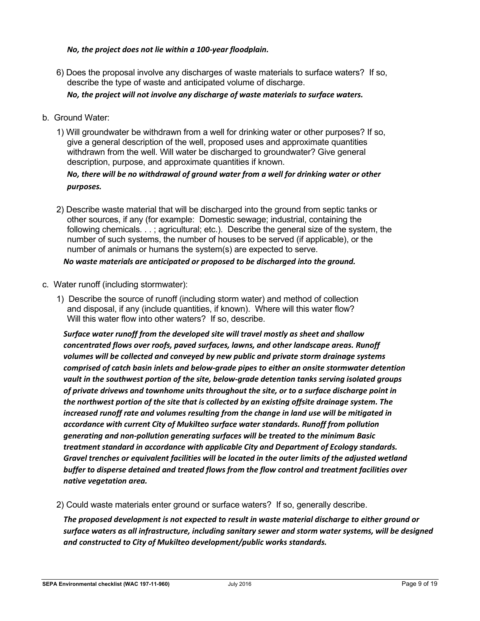#### *No, the project does not lie within a 100-year floodplain.*

6) Does the proposal involve any discharges of waste materials to surface waters? If so, describe the type of waste and anticipated volume of discharge.

*No, the project will not involve any discharge of waste materials to surface waters.* 

- b. Ground Water:
	- 1) Will groundwater be withdrawn from a well for drinking water or other purposes? If so, give a general description of the well, proposed uses and approximate quantities withdrawn from the well. Will water be discharged to groundwater? Give general description, purpose, and approximate quantities if known.

#### *No, there will be no withdrawal of ground water from a well for drinking water or other purposes.*

2) Describe waste material that will be discharged into the ground from septic tanks or other sources, if any (for example: Domestic sewage; industrial, containing the following chemicals. . . ; agricultural; etc.). Describe the general size of the system, the number of such systems, the number of houses to be served (if applicable), or the number of animals or humans the system(s) are expected to serve.

*No waste materials are anticipated or proposed to be discharged into the ground.* 

- c. Water runoff (including stormwater):
	- 1) Describe the source of runoff (including storm water) and method of collection and disposal, if any (include quantities, if known). Where will this water flow? Will this water flow into other waters? If so, describe.

*Surface water runoff from the developed site will travel mostly as sheet and shallow concentrated flows over roofs, paved surfaces, lawns, and other landscape areas. Runoff volumes will be collected and conveyed by new public and private storm drainage systems comprised of catch basin inlets and below-grade pipes to either an onsite stormwater detention vault in the southwest portion of the site, below-grade detention tanks serving isolated groups of private drivews and townhome units throughout the site, or to a surface discharge point in the northwest portion of the site that is collected by an existing offsite drainage system. The increased runoff rate and volumes resulting from the change in land use will be mitigated in accordance with current City of Mukilteo surface water standards. Runoff from pollution generating and non-pollution generating surfaces will be treated to the minimum Basic treatment standard in accordance with applicable City and Department of Ecology standards. Gravel trenches or equivalent facilities will be located in the outer limits of the adjusted wetland buffer to disperse detained and treated flows from the flow control and treatment facilities over native vegetation area.* 

2) Could waste materials enter ground or surface waters? If so, generally describe.

*The proposed development is not expected to result in waste material discharge to either ground or surface waters as all infrastructure, including sanitary sewer and storm water systems, will be designed and constructed to City of Mukilteo development/public works standards.*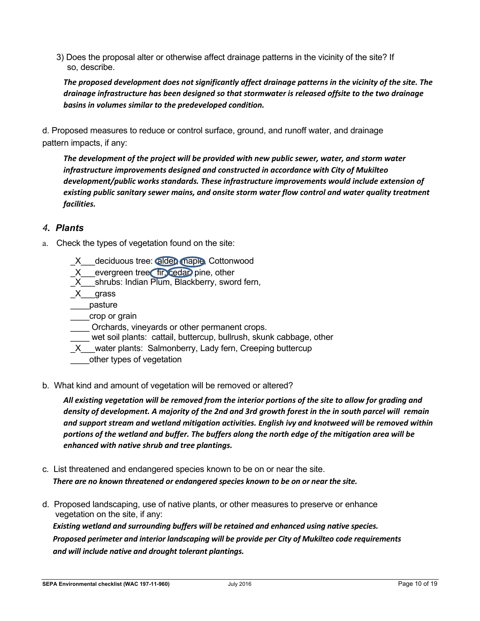3) Does the proposal alter or otherwise affect drainage patterns in the vicinity of the site? If so, describe.

*The proposed development does not significantly affect drainage patterns in the vicinity of the site. The drainage infrastructure has been designed so that stormwater is released offsite to the two drainage basins in volumes similar to the predeveloped condition.* 

d. Proposed measures to reduce or control surface, ground, and runoff water, and drainage pattern impacts, if any:

*The development of the project will be provided with new public sewer, water, and storm water infrastructure improvements designed and constructed in accordance with City of Mukilteo development/public works standards. These infrastructure improvements would include extension of existing public sanitary sewer mains, and onsite storm water flow control and water quality treatment facilities.* 

## *4. Plants*

- a. Check the types of vegetation found on the site:
	- deciduous tree: alder, maple, Cottonwood
	- X evergreen tree fir, cedar, pine, other
	- X shrubs: Indian Plum, Blackberry, sword fern,
	- \_X\_\_\_grass
	- \_\_\_\_pasture
	- \_\_\_\_crop or grain
	- \_\_\_\_ Orchards, vineyards or other permanent crops.
	- wet soil plants: cattail, buttercup, bullrush, skunk cabbage, other
	- X water plants: Salmonberry, Lady fern, Creeping buttercup
	- other types of vegetation
- b. What kind and amount of vegetation will be removed or altered?

*All existing vegetation will be removed from the interior portions of the site to allow for grading and density of development. A majority of the 2nd and 3rd growth forest in the in south parcel will remain and support stream and wetland mitigation activities. English ivy and knotweed will be removed within portions of the wetland and buffer. The buffers along the north edge of the mitigation area will be enhanced with native shrub and tree plantings.* 

- c. List threatened and endangered species known to be on or near the site. *There are no known threatened or endangered species known to be on or near the site.*
- d. Proposed landscaping, use of native plants, or other measures to preserve or enhance vegetation on the site, if any:

*Existing wetland and surrounding buffers will be retained and enhanced using native species. Proposed perimeter and interior landscaping will be provide per City of Mukilteo code requirements and will include native and drought tolerant plantings.*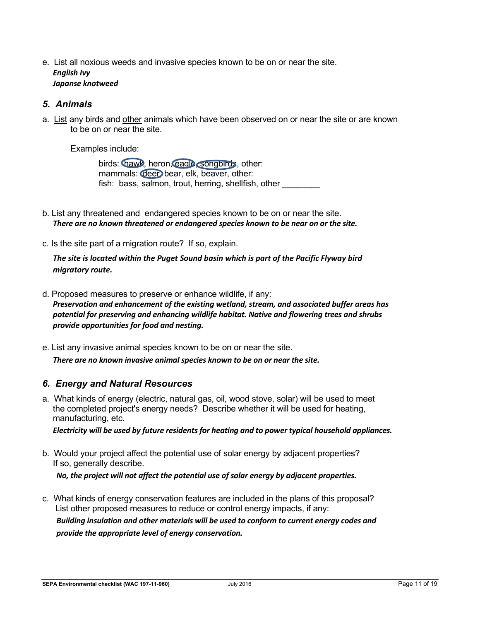e. List all noxious weeds and invasive species known to be on or near the site. *English Ivy Japanse knotweed* 

#### *5. Animals*

a. List any birds and other animals which have been observed on or near the site or are known to be on or near the site.

Examples include:

birds: hawk, heron, eagle, songbirds, other: mammals: deer bear, elk, beaver, other: fish: bass, salmon, trout, herring, shellfish, other

- b. List any threatened and endangered species known to be on or near the site. *There are no known threatened or endangered species known to be near on or the site.*
- c. Is the site part of a migration route? If so, explain.

*The site is located within the Puget Sound basin which is part of the Pacific Flyway bird migratory route.* 

- d. Proposed measures to preserve or enhance wildlife, if any: *Preservation and enhancement of the existing wetland, stream, and associated buffer areas has potential for preserving and enhancing wildlife habitat. Native and flowering trees and shrubs provide opportunities for food and nesting.*
- e. List any invasive animal species known to be on or near the site. *There are no known invasive animal species known to be on or near the site.*

## *6. Energy and Natural Resources*

a. What kinds of energy (electric, natural gas, oil, wood stove, solar) will be used to meet the completed project's energy needs? Describe whether it will be used for heating, manufacturing, etc.

*Electricity will be used by future residents for heating and to power typical household appliances.* 

- b. Would your project affect the potential use of solar energy by adjacent properties? If so, generally describe. *No, the project will not affect the potential use of solar energy by adjacent properties.*
- c. What kinds of energy conservation features are included in the plans of this proposal? List other proposed measures to reduce or control energy impacts, if any: *Building insulation and other materials will be used to conform to current energy codes and provide the appropriate level of energy conservation.*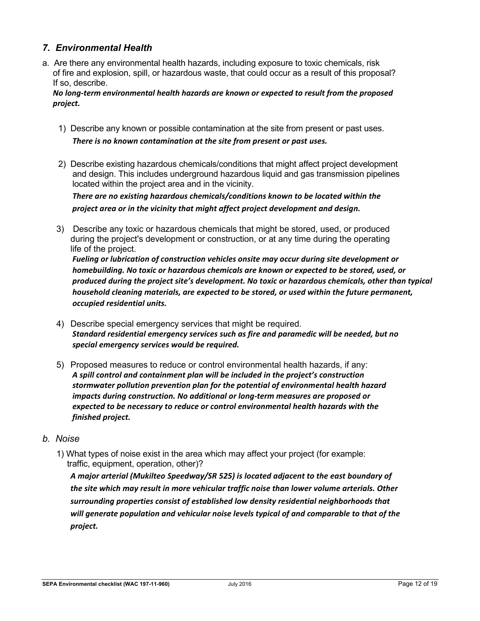## *7. Environmental Health*

a. Are there any environmental health hazards, including exposure to toxic chemicals, risk of fire and explosion, spill, or hazardous waste, that could occur as a result of this proposal? If so, describe.

*No long-term environmental health hazards are known or expected to result from the proposed project.*

- 1) Describe any known or possible contamination at the site from present or past uses. *There is no known contamination at the site from present or past uses.*
- 2) Describe existing hazardous chemicals/conditions that might affect project development and design. This includes underground hazardous liquid and gas transmission pipelines located within the project area and in the vicinity.

*There are no existing hazardous chemicals/conditions known to be located within the project area or in the vicinity that might affect project development and design.* 

3) Describe any toxic or hazardous chemicals that might be stored, used, or produced during the project's development or construction, or at any time during the operating life of the project.

*Fueling or lubrication of construction vehicles onsite may occur during site development or homebuilding. No toxic or hazardous chemicals are known or expected to be stored, used, or produced during the project site's development. No toxic or hazardous chemicals, other than typical household cleaning materials, are expected to be stored, or used within the future permanent, occupied residential units.*

- 4) Describe special emergency services that might be required. *Standard residential emergency services such as fire and paramedic will be needed, but no special emergency services would be required.*
- 5) Proposed measures to reduce or control environmental health hazards, if any: *A spill control and containment plan will be included in the project's construction stormwater pollution prevention plan for the potential of environmental health hazard impacts during construction. No additional or long-term measures are proposed or expected to be necessary to reduce or control environmental health hazards with the finished project.*

#### *b. Noise*

1) What types of noise exist in the area which may affect your project (for example: traffic, equipment, operation, other)?

*A major arterial (Mukilteo Speedway/SR 525) is located adjacent to the east boundary of the site which may result in more vehicular traffic noise than lower volume arterials. Other surrounding properties consist of established low density residential neighborhoods that will generate population and vehicular noise levels typical of and comparable to that of the project.*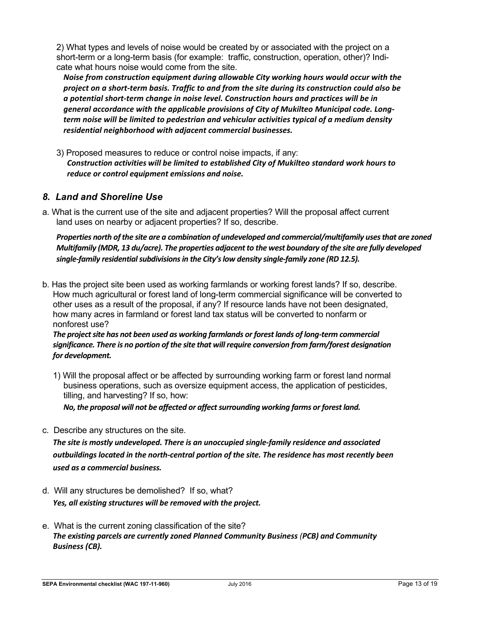2) What types and levels of noise would be created by or associated with the project on a short-term or a long-term basis (for example: traffic, construction, operation, other)? Indicate what hours noise would come from the site.

*Noise from construction equipment during allowable City working hours would occur with the project on a short-term basis. Traffic to and from the site during its construction could also be a potential short-term change in noise level. Construction hours and practices will be in general accordance with the applicable provisions of City of Mukilteo Municipal code. Longterm noise will be limited to pedestrian and vehicular activities typical of a medium density residential neighborhood with adjacent commercial businesses.*

3) Proposed measures to reduce or control noise impacts, if any: *Construction activities will be limited to established City of Mukilteo standard work hours to reduce or control equipment emissions and noise.*

## *8. Land and Shoreline Use*

a. What is the current use of the site and adjacent properties? Will the proposal affect current land uses on nearby or adjacent properties? If so, describe.

*Properties north of the site are a combination of undeveloped and commercial/multifamily uses that are zoned Multifamily (MDR, 13 du/acre). The properties adjacent to the west boundary of the site are fully developed single-family residential subdivisions in the City's low density single-family zone (RD 12.5).* 

b. Has the project site been used as working farmlands or working forest lands? If so, describe. How much agricultural or forest land of long-term commercial significance will be converted to other uses as a result of the proposal, if any? If resource lands have not been designated, how many acres in farmland or forest land tax status will be converted to nonfarm or nonforest use?

#### *The project site has not been used as working farmlands or forest lands of long-term commercial significance. There is no portion of the site that will require conversion from farm/forest designation for development.*

1) Will the proposal affect or be affected by surrounding working farm or forest land normal business operations, such as oversize equipment access, the application of pesticides, tilling, and harvesting? If so, how:

*No, the proposal will not be affected or affect surrounding working farms or forest land.*

c. Describe any structures on the site.

*The site is mostly undeveloped. There is an unoccupied single-family residence and associated outbuildings located in the north-central portion of the site. The residence has most recently been used as a commercial business.* 

- d. Will any structures be demolished? If so, what? *Yes, all existing structures will be removed with the project.*
- e. What is the current zoning classification of the site? *The existing parcels are currently zoned Planned Community Business (PCB) and Community Business (CB).*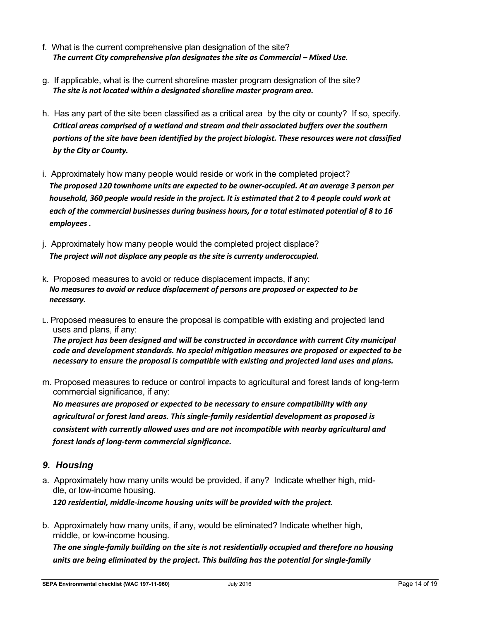- f. What is the current comprehensive plan designation of the site? *The current City comprehensive plan designates the site as Commercial – Mixed Use.*
- g. If applicable, what is the current shoreline master program designation of the site? *The site is not located within a designated shoreline master program area.*
- h. Has any part of the site been classified as a critical area by the city or county? If so, specify. *Critical areas comprised of a wetland and stream and their associated buffers over the southern portions of the site have been identified by the project biologist. These resources were not classified by the City or County.*
- i. Approximately how many people would reside or work in the completed project? *The proposed 120 townhome units are expected to be owner-occupied. At an average 3 person per household, 360 people would reside in the project. It is estimated that 2 to 4 people could work at each of the commercial businesses during business hours, for a total estimated potential of 8 to 16 employees .*
- j. Approximately how many people would the completed project displace? *The project will not displace any people as the site is currenty underoccupied.*
- k. Proposed measures to avoid or reduce displacement impacts, if any: *No measures to avoid or reduce displacement of persons are proposed or expected to be necessary.*
- L. Proposed measures to ensure the proposal is compatible with existing and projected land uses and plans, if any: *The project has been designed and will be constructed in accordance with current City municipal code and development standards. No special mitigation measures are proposed or expected to be necessary to ensure the proposal is compatible with existing and projected land uses and plans.*
- m. Proposed measures to reduce or control impacts to agricultural and forest lands of long-term commercial significance, if any:

*No measures are proposed or expected to be necessary to ensure compatibility with any agricultural or forest land areas. This single-family residential development as proposed is consistent with currently allowed uses and are not incompatible with nearby agricultural and forest lands of long-term commercial significance.* 

## *9. Housing*

- a. Approximately how many units would be provided, if any? Indicate whether high, middle, or low-income housing. *120 residential, middle-income housing units will be provided with the project.*
- b. Approximately how many units, if any, would be eliminated? Indicate whether high, middle, or low-income housing.

*The one single-family building on the site is not residentially occupied and therefore no housing units are being eliminated by the project. This building has the potential for single-family*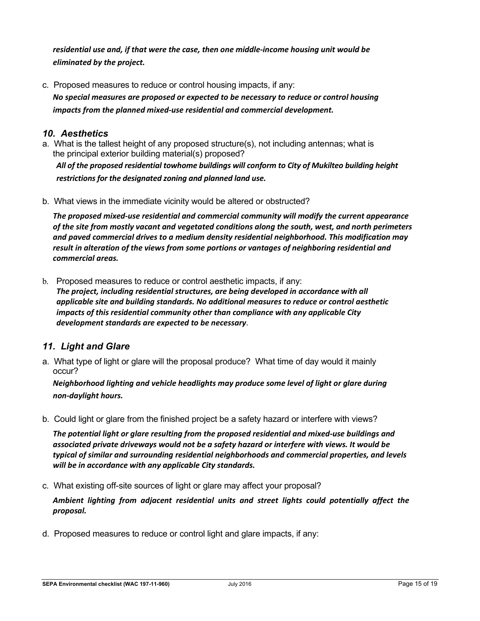*residential use and, if that were the case, then one middle-income housing unit would be eliminated by the project.* 

c. Proposed measures to reduce or control housing impacts, if any: *No special measures are proposed or expected to be necessary to reduce or control housing impacts from the planned mixed-use residential and commercial development.*

## *10. Aesthetics*

a. What is the tallest height of any proposed structure(s), not including antennas; what is the principal exterior building material(s) proposed?

*All of the proposed residential towhome buildings will conform to City of Mukilteo building height restrictions for the designated zoning and planned land use.* 

b. What views in the immediate vicinity would be altered or obstructed?

*The proposed mixed-use residential and commercial community will modify the current appearance of the site from mostly vacant and vegetated conditions along the south, west, and north perimeters and paved commercial drives to a medium density residential neighborhood. This modification may result in alteration of the views from some portions or vantages of neighboring residential and commercial areas.* 

b. Proposed measures to reduce or control aesthetic impacts, if any: *The project, including residential structures, are being developed in accordance with all applicable site and building standards. No additional measures to reduce or control aesthetic impacts of this residential community other than compliance with any applicable City development standards are expected to be necessary*.

## *11. Light and Glare*

a. What type of light or glare will the proposal produce? What time of day would it mainly occur?

*Neighborhood lighting and vehicle headlights may produce some level of light or glare during non-daylight hours.*

b. Could light or glare from the finished project be a safety hazard or interfere with views?

*The potential light or glare resulting from the proposed residential and mixed-use buildings and associated private driveways would not be a safety hazard or interfere with views. It would be typical of similar and surrounding residential neighborhoods and commercial properties, and levels will be in accordance with any applicable City standards.* 

c. What existing off-site sources of light or glare may affect your proposal?

*Ambient lighting from adjacent residential units and street lights could potentially affect the proposal.* 

d. Proposed measures to reduce or control light and glare impacts, if any: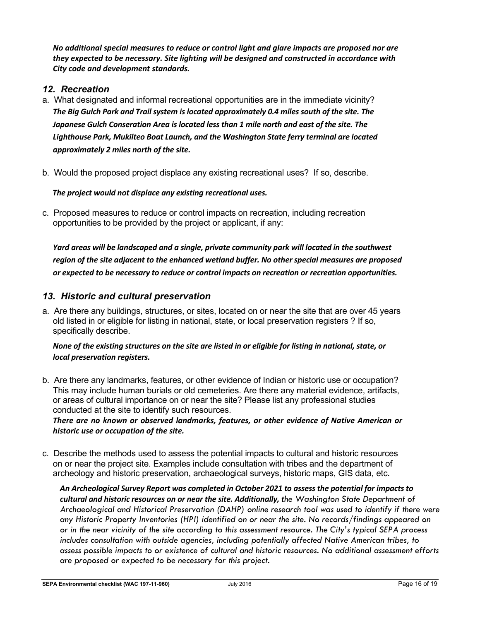*No additional special measures to reduce or control light and glare impacts are proposed nor are they expected to be necessary. Site lighting will be designed and constructed in accordance with City code and development standards.*

## *12. Recreation*

- a. What designated and informal recreational opportunities are in the immediate vicinity? *The Big Gulch Park and Trail system is located approximately 0.4 miles south of the site. The Japanese Gulch Conseration Area is located less than 1 mile north and east of the site. The Lighthouse Park, Mukilteo Boat Launch, and the Washington State ferry terminal are located approximately 2 miles north of the site.*
- b. Would the proposed project displace any existing recreational uses? If so, describe.

#### *The project would not displace any existing recreational uses.*

c. Proposed measures to reduce or control impacts on recreation, including recreation opportunities to be provided by the project or applicant, if any:

*Yard areas will be landscaped and a single, private community park will located in the southwest region of the site adjacent to the enhanced wetland buffer. No other special measures are proposed or expected to be necessary to reduce or control impacts on recreation or recreation opportunities.* 

#### *13. Historic and cultural preservation*

a. Are there any buildings, structures, or sites, located on or near the site that are over 45 years old listed in or eligible for listing in national, state, or local preservation registers ? If so, specifically describe.

#### *None of the existing structures on the site are listed in or eligible for listing in national, state, or local preservation registers.*

b. Are there any landmarks, features, or other evidence of Indian or historic use or occupation? This may include human burials or old cemeteries. Are there any material evidence, artifacts, or areas of cultural importance on or near the site? Please list any professional studies conducted at the site to identify such resources.

*There are no known or observed landmarks, features, or other evidence of Native American or historic use or occupation of the site.*

c. Describe the methods used to assess the potential impacts to cultural and historic resources on or near the project site. Examples include consultation with tribes and the department of archeology and historic preservation, archaeological surveys, historic maps, GIS data, etc.

*An Archeological Survey Report was completed in October 2021 to assess the potential for impacts to cultural and historic resources on or near the site. Additionally, the Washington State Department of Archaeological and Historical Preservation (DAHP) online research tool was used to identify if there were any Historic Property Inventories (HPI) identified on or near the site. No records/findings appeared on or in the near vicinity of the site according to this assessment resource. The City's typical SEPA process includes consultation with outside agencies, including potentially affected Native American tribes, to assess possible impacts to or existence of cultural and historic resources. No additional assessment efforts are proposed or expected to be necessary for this project.*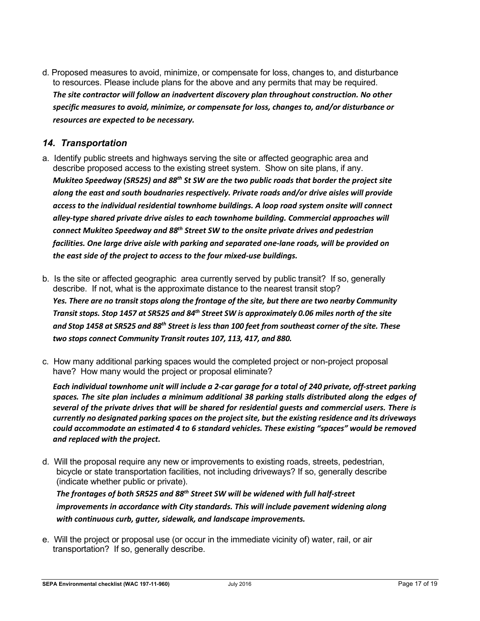d. Proposed measures to avoid, minimize, or compensate for loss, changes to, and disturbance to resources. Please include plans for the above and any permits that may be required. *The site contractor will follow an inadvertent discovery plan throughout construction. No other specific measures to avoid, minimize, or compensate for loss, changes to, and/or disturbance or resources are expected to be necessary.*

## *14. Transportation*

- a. Identify public streets and highways serving the site or affected geographic area and describe proposed access to the existing street system. Show on site plans, if any. *Mukiteo Speedway (SR525) and 88th St SW are the two public roads that border the project site along the east and south boudnaries respectively. Private roads and/or drive aisles will provide access to the individual residential townhome buildings. A loop road system onsite will connect alley-type shared private drive aisles to each townhome building. Commercial approaches will connect Mukiteo Speedway and 88th Street SW to the onsite private drives and pedestrian facilities. One large drive aisle with parking and separated one-lane roads, will be provided on the east side of the project to access to the four mixed-use buildings.*
- b. Is the site or affected geographic area currently served by public transit? If so, generally describe. If not, what is the approximate distance to the nearest transit stop? *Yes. There are no transit stops along the frontage of the site, but there are two nearby Community Transit stops. Stop 1457 at SR525 and 84th Street SW is approximately 0.06 miles north of the site and Stop 1458 at SR525 and 88th Street is less than 100 feet from southeast corner of the site. These two stops connect Community Transit routes 107, 113, 417, and 880.*
- c. How many additional parking spaces would the completed project or non-project proposal have? How many would the project or proposal eliminate?

*Each individual townhome unit will include a 2-car garage for a total of 240 private, off-street parking spaces. The site plan includes a minimum additional 38 parking stalls distributed along the edges of several of the private drives that will be shared for residential guests and commercial users. There is currently no designated parking spaces on the project site, but the existing residence and its driveways could accommodate an estimated 4 to 6 standard vehicles. These existing "spaces" would be removed and replaced with the project.* 

d. Will the proposal require any new or improvements to existing roads, streets, pedestrian, bicycle or state transportation facilities, not including driveways? If so, generally describe (indicate whether public or private).

## *The frontages of both SR525 and 88th Street SW will be widened with full half-street improvements in accordance with City standards. This will include pavement widening along with continuous curb, gutter, sidewalk, and landscape improvements.*

e. Will the project or proposal use (or occur in the immediate vicinity of) water, rail, or air transportation? If so, generally describe.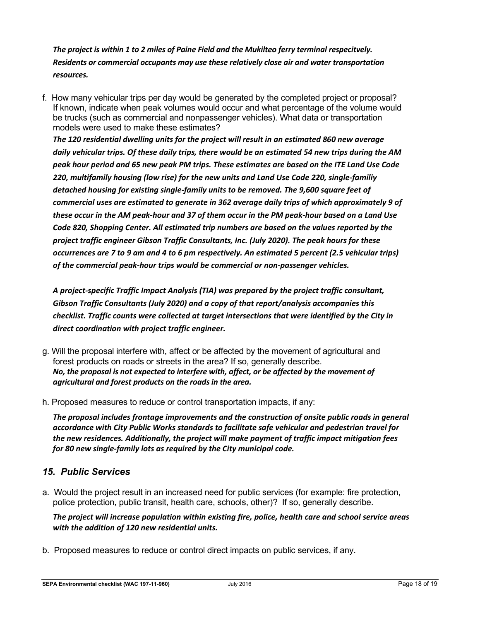*The project is within 1 to 2 miles of Paine Field and the Mukilteo ferry terminal respecitvely. Residents or commercial occupants may use these relatively close air and water transportation resources.* 

f. How many vehicular trips per day would be generated by the completed project or proposal? If known, indicate when peak volumes would occur and what percentage of the volume would be trucks (such as commercial and nonpassenger vehicles). What data or transportation models were used to make these estimates?

*The 120 residential dwelling units for the project will result in an estimated 860 new average daily vehicular trips. Of these daily trips, there would be an estimated 54 new trips during the AM peak hour period and 65 new peak PM trips. These estimates are based on the ITE Land Use Code 220, multifamily housing (low rise) for the new units and Land Use Code 220, single-familiy detached housing for existing single-family units to be removed. The 9,600 square feet of commercial uses are estimated to generate in 362 average daily trips of which approximately 9 of these occur in the AM peak-hour and 37 of them occur in the PM peak-hour based on a Land Use Code 820, Shopping Center. All estimated trip numbers are based on the values reported by the project traffic engineer Gibson Traffic Consultants, Inc. (July 2020). The peak hours for these occurrences are 7 to 9 am and 4 to 6 pm respectively. An estimated 5 percent (2.5 vehicular trips) of the commercial peak-hour trips would be commercial or non-passenger vehicles.* 

*A project-specific Traffic Impact Analysis (TIA) was prepared by the project traffic consultant, Gibson Traffic Consultants (July 2020) and a copy of that report/analysis accompanies this checklist. Traffic counts were collected at target intersections that were identified by the City in direct coordination with project traffic engineer.* 

- g. Will the proposal interfere with, affect or be affected by the movement of agricultural and forest products on roads or streets in the area? If so, generally describe. *No, the proposal is not expected to interfere with, affect, or be affected by the movement of agricultural and forest products on the roads in the area.*
- h. Proposed measures to reduce or control transportation impacts, if any:

*The proposal includes frontage improvements and the construction of onsite public roads in general accordance with City Public Works standards to facilitate safe vehicular and pedestrian travel for the new residences. Additionally, the project will make payment of traffic impact mitigation fees for 80 new single-family lots as required by the City municipal code.* 

## *15. Public Services*

a. Would the project result in an increased need for public services (for example: fire protection, police protection, public transit, health care, schools, other)? If so, generally describe.

*The project will increase population within existing fire, police, health care and school service areas with the addition of 120 new residential units.* 

b. Proposed measures to reduce or control direct impacts on public services, if any.